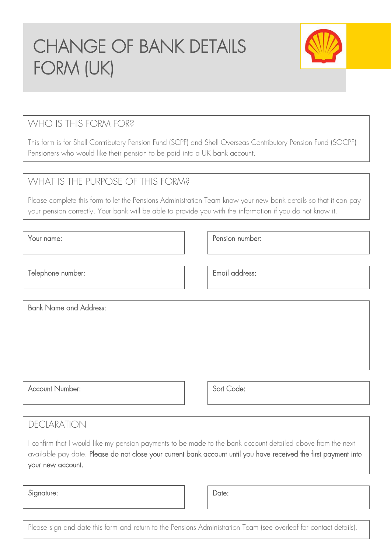# CHANGE OF BANK DETAILS FORM (UK)



## WHO IS THIS FORM FOR?

This form is for Shell Contributory Pension Fund (SCPF) and Shell Overseas Contributory Pension Fund (SOCPF) Pensioners who would like their pension to be paid into a UK bank account.

#### WHAT IS THE PURPOSE OF THIS FORM?

Please complete this form to let the Pensions Administration Team know your new bank details so that it can pay your pension correctly. Your bank will be able to provide you with the information if you do not know it.

Your name: Pension number:

Telephone number:  $\qquad \qquad$  Email address:

Bank Name and Address:

Sort Code:

#### DECLARATION

Account Number:

I confirm that I would like my pension payments to be made to the bank account detailed above from the next available pay date. Please do not close your current bank account until you have received the first payment into your new account.

Signature:

Date:

Please sign and date this form and return to the Pensions Administration Team (see overleaf for contact details).